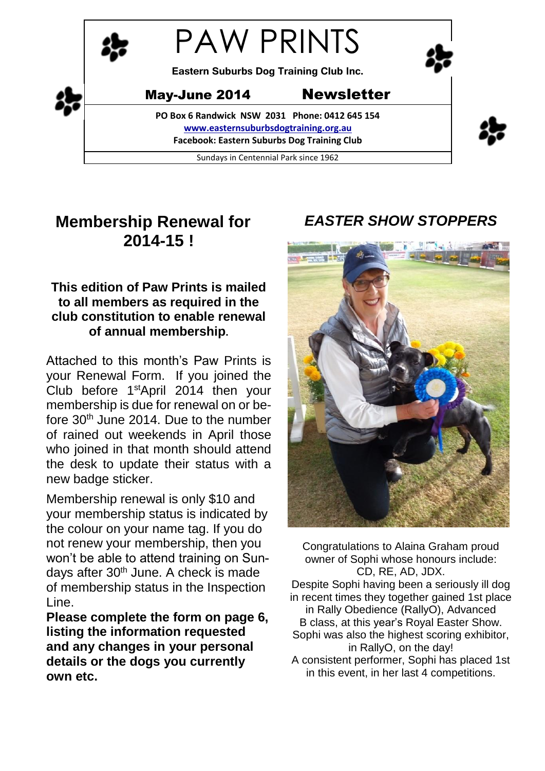

# **Membership Renewal for 2014-15 !**

## **This edition of Paw Prints is mailed to all members as required in the club constitution to enable renewal of annual membership.**

Attached to this month's Paw Prints is your Renewal Form. If you joined the Club before 1stApril 2014 then your membership is due for renewal on or before 30<sup>th</sup> June 2014. Due to the number of rained out weekends in April those who joined in that month should attend the desk to update their status with a new badge sticker.

Membership renewal is only \$10 and your membership status is indicated by the colour on your name tag. If you do not renew your membership, then you won't be able to attend training on Sundays after 30<sup>th</sup> June. A check is made of membership status in the Inspection Line.

**Please complete the form on page 6, listing the information requested and any changes in your personal details or the dogs you currently own etc.**

## *EASTER SHOW STOPPERS*



Congratulations to Alaina Graham proud owner of Sophi whose honours include: CD, RE, AD, JDX. Despite Sophi having been a seriously ill dog in recent times they together gained 1st place in Rally Obedience (RallyO), Advanced B class, at this year's Royal Easter Show. Sophi was also the highest scoring exhibitor, in RallyO, on the day! A consistent performer, Sophi has placed 1st in this event, in her last 4 competitions.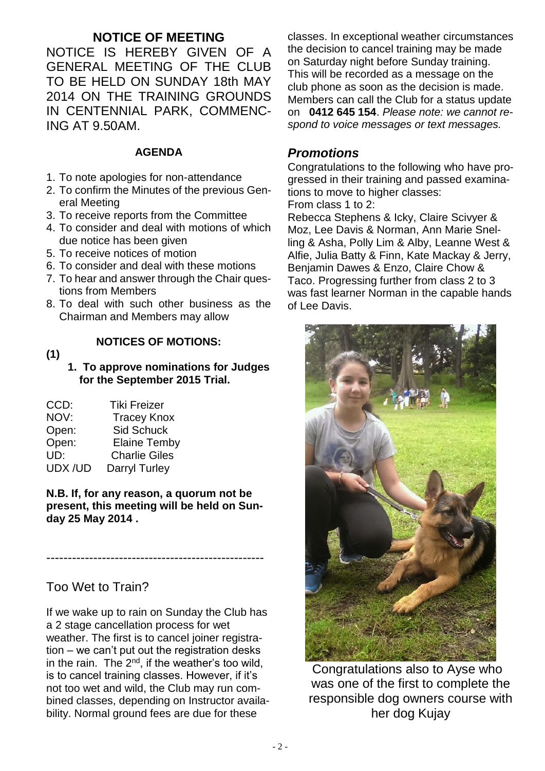### **NOTICE OF MEETING**

NOTICE IS HEREBY GIVEN OF A GENERAL MEETING OF THE CLUB TO BE HELD ON SUNDAY 18th MAY 2014 ON THE TRAINING GROUNDS IN CENTENNIAL PARK, COMMENC-ING AT 9.50AM.

#### **AGENDA**

- 1. To note apologies for non-attendance
- 2. To confirm the Minutes of the previous General Meeting
- 3. To receive reports from the Committee
- 4. To consider and deal with motions of which due notice has been given
- 5. To receive notices of motion
- 6. To consider and deal with these motions
- 7. To hear and answer through the Chair questions from Members
- 8. To deal with such other business as the Chairman and Members may allow

## **(1)**

#### **NOTICES OF MOTIONS:**

 **1. To approve nominations for Judges for the September 2015 Trial.**

| CCD:   | <b>Tiki Freizer</b>  |
|--------|----------------------|
| NOV:   | <b>Tracey Knox</b>   |
| Open:  | <b>Sid Schuck</b>    |
| Open:  | <b>Elaine Temby</b>  |
| UD:    | <b>Charlie Giles</b> |
| UDX/UD | Darryl Turley        |

#### **N.B. If, for any reason, a quorum not be present, this meeting will be held on Sunday 25 May 2014 .**

---------------------------------------------------

## Too Wet to Train?

If we wake up to rain on Sunday the Club has a 2 stage cancellation process for wet weather. The first is to cancel joiner registration – we can't put out the registration desks in the rain. The 2<sup>nd</sup>, if the weather's too wild, is to cancel training classes. However, if it's not too wet and wild, the Club may run combined classes, depending on Instructor availability. Normal ground fees are due for these

classes. In exceptional weather circumstances the decision to cancel training may be made on Saturday night before Sunday training. This will be recorded as a message on the club phone as soon as the decision is made. Members can call the Club for a status update on **0412 645 154**. *Please note: we cannot respond to voice messages or text messages.*

### *Promotions*

Congratulations to the following who have progressed in their training and passed examinations to move to higher classes:

From class 1 to 2:

Rebecca Stephens & Icky, Claire Scivyer & Moz, Lee Davis & Norman, Ann Marie Snelling & Asha, Polly Lim & Alby, Leanne West & Alfie, Julia Batty & Finn, Kate Mackay & Jerry, Benjamin Dawes & Enzo, Claire Chow & Taco. Progressing further from class 2 to 3 was fast learner Norman in the capable hands of Lee Davis.



Congratulations also to Ayse who was one of the first to complete the responsible dog owners course with her dog Kujay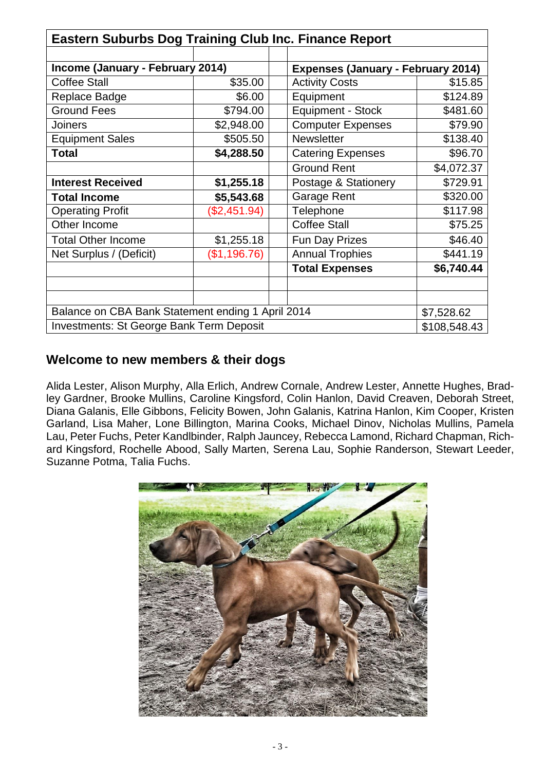| <b>Eastern Suburbs Dog Training Club Inc. Finance Report</b> |              |                                           |              |  |
|--------------------------------------------------------------|--------------|-------------------------------------------|--------------|--|
|                                                              |              |                                           |              |  |
| Income (January - February 2014)                             |              | <b>Expenses (January - February 2014)</b> |              |  |
| <b>Coffee Stall</b>                                          | \$35.00      | <b>Activity Costs</b>                     | \$15.85      |  |
| Replace Badge                                                | \$6.00       | Equipment                                 | \$124.89     |  |
| <b>Ground Fees</b>                                           | \$794.00     | <b>Equipment - Stock</b>                  | \$481.60     |  |
| <b>Joiners</b>                                               | \$2,948.00   | <b>Computer Expenses</b>                  | \$79.90      |  |
| <b>Equipment Sales</b>                                       | \$505.50     | Newsletter                                | \$138.40     |  |
| <b>Total</b>                                                 | \$4,288.50   | <b>Catering Expenses</b>                  | \$96.70      |  |
|                                                              |              | <b>Ground Rent</b>                        | \$4,072.37   |  |
| <b>Interest Received</b>                                     | \$1,255.18   | Postage & Stationery                      | \$729.91     |  |
| <b>Total Income</b>                                          | \$5,543.68   | Garage Rent                               | \$320.00     |  |
| <b>Operating Profit</b>                                      | (\$2,451.94) | Telephone                                 | \$117.98     |  |
| Other Income                                                 |              | <b>Coffee Stall</b>                       | \$75.25      |  |
| <b>Total Other Income</b>                                    | \$1,255.18   | Fun Day Prizes                            | \$46.40      |  |
| Net Surplus / (Deficit)                                      | (\$1,196.76) | <b>Annual Trophies</b>                    | \$441.19     |  |
|                                                              |              | <b>Total Expenses</b>                     | \$6,740.44   |  |
|                                                              |              |                                           |              |  |
|                                                              |              |                                           |              |  |
| Balance on CBA Bank Statement ending 1 April 2014            |              |                                           | \$7,528.62   |  |
| <b>Investments: St George Bank Term Deposit</b>              |              |                                           | \$108,548.43 |  |

### **Welcome to new members & their dogs**

Alida Lester, Alison Murphy, Alla Erlich, Andrew Cornale, Andrew Lester, Annette Hughes, Bradley Gardner, Brooke Mullins, Caroline Kingsford, Colin Hanlon, David Creaven, Deborah Street, Diana Galanis, Elle Gibbons, Felicity Bowen, John Galanis, Katrina Hanlon, Kim Cooper, Kristen Garland, Lisa Maher, Lone Billington, Marina Cooks, Michael Dinov, Nicholas Mullins, Pamela Lau, Peter Fuchs, Peter Kandlbinder, Ralph Jauncey, Rebecca Lamond, Richard Chapman, Richard Kingsford, Rochelle Abood, Sally Marten, Serena Lau, Sophie Randerson, Stewart Leeder, Suzanne Potma, Talia Fuchs.

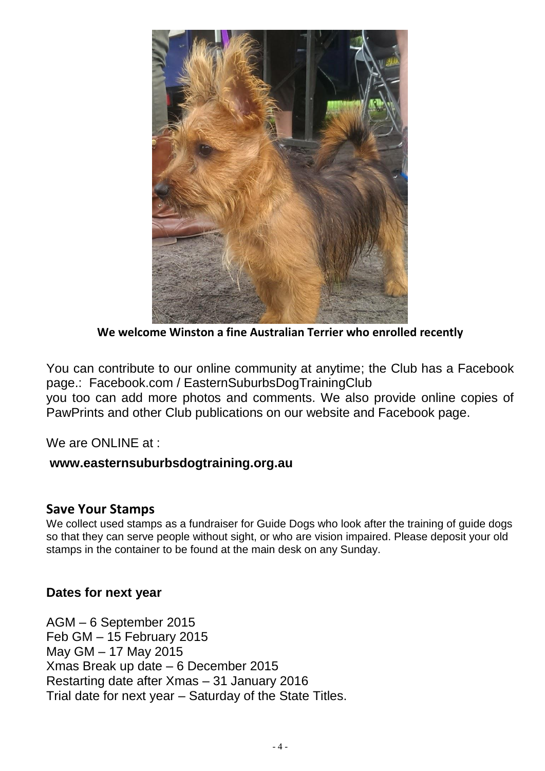

**We welcome Winston a fine Australian Terrier who enrolled recently**

You can contribute to our online community at anytime; the Club has a Facebook page.: Facebook.com / EasternSuburbsDogTrainingClub you too can add more photos and comments. We also provide online copies of

PawPrints and other Club publications on our website and Facebook page.

We are ONLINE at :

#### **www.easternsuburbsdogtraining.org.au**

#### **Save Your Stamps**

We collect used stamps as a fundraiser for Guide Dogs who look after the training of guide dogs so that they can serve people without sight, or who are vision impaired. Please deposit your old stamps in the container to be found at the main desk on any Sunday.

#### **Dates for next year**

AGM – 6 September 2015 Feb GM – 15 February 2015 May GM – 17 May 2015 Xmas Break up date – 6 December 2015 Restarting date after Xmas – 31 January 2016 Trial date for next year – Saturday of the State Titles.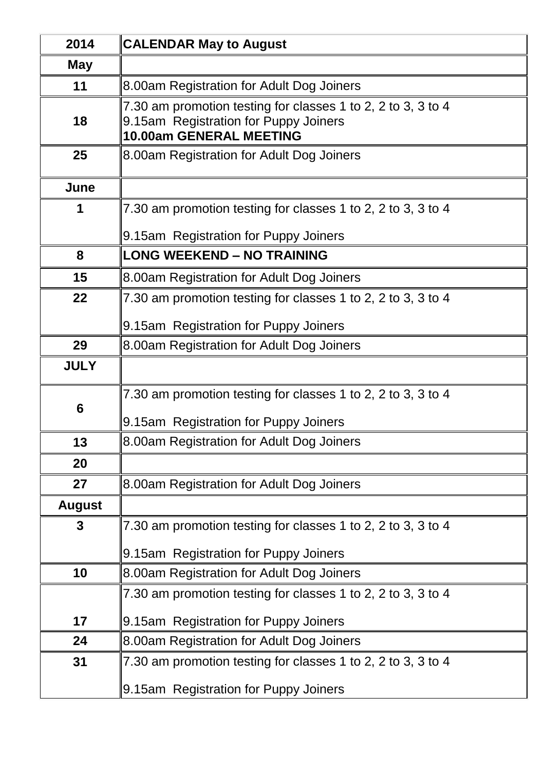| 2014          | <b>CALENDAR May to August</b>                                                                                                           |
|---------------|-----------------------------------------------------------------------------------------------------------------------------------------|
| May           |                                                                                                                                         |
| 11            | 8.00am Registration for Adult Dog Joiners                                                                                               |
| 18            | 7.30 am promotion testing for classes 1 to 2, 2 to 3, 3 to 4<br>9.15am Registration for Puppy Joiners<br><b>10.00am GENERAL MEETING</b> |
| 25            | 8.00am Registration for Adult Dog Joiners                                                                                               |
| June          |                                                                                                                                         |
| 1             | 7.30 am promotion testing for classes 1 to 2, 2 to 3, 3 to 4                                                                            |
|               | 9.15am Registration for Puppy Joiners                                                                                                   |
| 8             | <b>LONG WEEKEND - NO TRAINING</b>                                                                                                       |
| 15            | 8.00am Registration for Adult Dog Joiners                                                                                               |
| 22            | 7.30 am promotion testing for classes 1 to 2, 2 to 3, 3 to 4                                                                            |
|               | 9.15am Registration for Puppy Joiners                                                                                                   |
| 29            | 8.00am Registration for Adult Dog Joiners                                                                                               |
| <b>JULY</b>   |                                                                                                                                         |
|               | 7.30 am promotion testing for classes 1 to 2, 2 to 3, 3 to 4                                                                            |
| 6             | 9.15am Registration for Puppy Joiners                                                                                                   |
| 13            | 8.00am Registration for Adult Dog Joiners                                                                                               |
| 20            |                                                                                                                                         |
| 27            | 8.00am Registration for Adult Dog Joiners                                                                                               |
| <b>August</b> |                                                                                                                                         |
| 3             | 7.30 am promotion testing for classes 1 to 2, 2 to 3, 3 to 4                                                                            |
|               | 9.15am Registration for Puppy Joiners                                                                                                   |
| 10            | 8.00am Registration for Adult Dog Joiners                                                                                               |
|               | 7.30 am promotion testing for classes 1 to 2, 2 to 3, 3 to 4                                                                            |
| 17            | 9.15am Registration for Puppy Joiners                                                                                                   |
| 24            | 8.00am Registration for Adult Dog Joiners                                                                                               |
| 31            | 7.30 am promotion testing for classes 1 to 2, 2 to 3, 3 to 4                                                                            |
|               | 9.15am Registration for Puppy Joiners                                                                                                   |